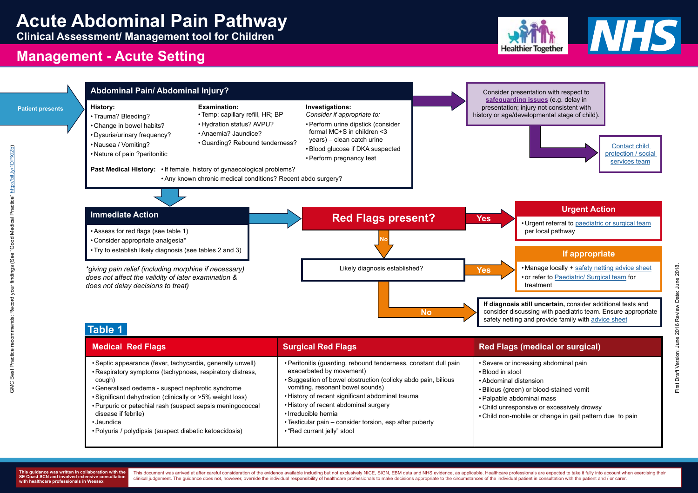### **Urgent Action**

• Urgent referral to [paediatric or surgical team](http://www.what0-18.nhs.uk/professionals/hospital-staff/hospital-advicereferral-contact-details) per local pathway

### **If appropriate**

• Manage locally + [safety netting advice sheet](http://www.what0-18.nhs.uk/health-professionals/front-line-hospital-staff/safety-netting-parents/abdominal-pain/) • or refer to [Paediatric/ Surgical team](Hyperlink to http://www.what0-18.nhs.uk/professionals/hospital-staff/hospital-advicereferral-contact-details) for treatment

First Draft Version: June 2016 Review Date: June 2018. First Draft Version: June 2016 Review Date: June 2018.

GMC Best Practice recommends: Record your findings (See "Good Medical Practice"

This document was arrived at after careful consideration of the evidence available including but not exclusively NICE, SIGN, EBM data and NHS evidence, as applicable. Healthcare professionals are expected to take it fully clinical judgement. The quidance does not, however, override the individual responsibility of healthcare professionals to make decisions appropriate to the circumstances of the individual patient in consultation with the p





**Clinical Assessment/ Management tool for Children**

## **Management - Acute Setting**



[Contact child](http://www.what0-18.nhs.uk/professionals/hospital-staff/safeguarding/making-referral-seeking-advice)  [protection / social](http://www.what0-18.nhs.uk/professionals/hospital-staff/safeguarding/making-referral-seeking-advice)  [services team](http://www.what0-18.nhs.uk/professionals/hospital-staff/safeguarding/making-referral-seeking-advice)

| • Peritonitis (guarding, rebound tenderness, constant dull pain<br>• Septic appearance (fever, tachycardia, generally unwell)<br>exacerbated by movement)<br>• Respiratory symptoms (tachypnoea, respiratory distress,<br>• Blood in stool<br>• Suggestion of bowel obstruction (colicky abdo pain, bilious<br>cough)<br>vomiting, resonant bowel sounds)<br>• Generalised oedema - suspect nephrotic syndrome<br>• History of recent significant abdominal trauma<br>• Significant dehydration (clinically or >5% weight loss)<br>• History of recent abdominal surgery<br>• Purpuric or petechial rash (suspect sepsis meningococcal<br>disease if febrile)<br>• Irreducible hernia<br>• Testicular pain – consider torsion, esp after puberty<br>• Jaundice | <b>Medical Red Flags</b>                                | <b>Surgical Red Flags</b>   | <b>Red Flags (mg</b>                                                                                                                 |
|----------------------------------------------------------------------------------------------------------------------------------------------------------------------------------------------------------------------------------------------------------------------------------------------------------------------------------------------------------------------------------------------------------------------------------------------------------------------------------------------------------------------------------------------------------------------------------------------------------------------------------------------------------------------------------------------------------------------------------------------------------------|---------------------------------------------------------|-----------------------------|--------------------------------------------------------------------------------------------------------------------------------------|
|                                                                                                                                                                                                                                                                                                                                                                                                                                                                                                                                                                                                                                                                                                                                                                | • Polyuria / polydipsia (suspect diabetic ketoacidosis) | • "Red currant jelly" stool | • Severe or increas<br>• Abdominal disten<br>• Bilious (green) or<br>• Palpable abdomir<br>• Child unresponsiv<br>• Child non-mobile |

### **Table 1**



Consider presentation with respect to **[safeguarding issues](http://www.what0-18.nhs.uk/health-professionals/front-line-hospital-staff/safeguarding/)** (e.g. delay in presentation; injury not consistent with history or age/developmental stage of child).

**If diagnosis still uncertain,** consider additional tests and consider discussing with paediatric team. Ensure appropriate safety netting and provide family with [advice sheet](http://www.what0-18.nhs.uk/professionals/hospital-staff/safety-netting-documents-parents/abdominal-pain)

### *<u>edical or surgical</u>*

sing abdominal pain

- าsion
- blood-stained vomit
- inal mass
- ive or excessively drowsy
- or change in gait pattern due to pain